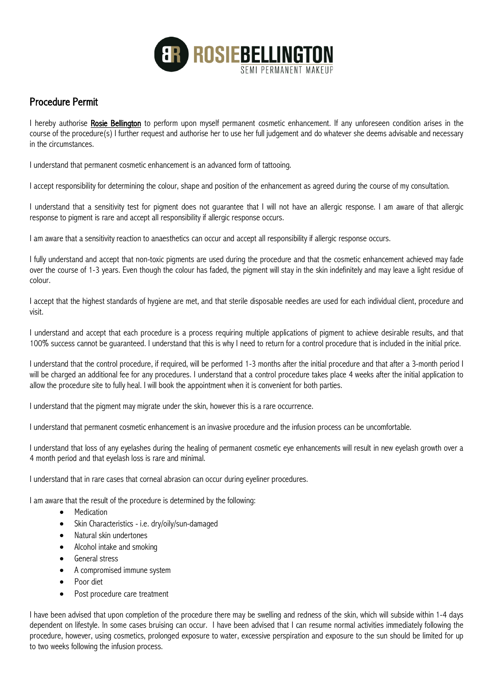

## Procedure Permit

I hereby authorise **Rosie Bellington** to perform upon myself permanent cosmetic enhancement. If any unforeseen condition arises in the course of the procedure(s) I further request and authorise her to use her full judgement and do whatever she deems advisable and necessary in the circumstances.

I understand that permanent cosmetic enhancement is an advanced form of tattooing.

I accept responsibility for determining the colour, shape and position of the enhancement as agreed during the course of my consultation.

I understand that a sensitivity test for pigment does not guarantee that I will not have an allergic response. I am aware of that allergic response to pigment is rare and accept all responsibility if allergic response occurs.

I am aware that a sensitivity reaction to anaesthetics can occur and accept all responsibility if allergic response occurs.

I fully understand and accept that non-toxic pigments are used during the procedure and that the cosmetic enhancement achieved may fade over the course of 1-3 years. Even though the colour has faded, the pigment will stay in the skin indefinitely and may leave a light residue of colour.

I accept that the highest standards of hygiene are met, and that sterile disposable needles are used for each individual client, procedure and visit.

I understand and accept that each procedure is a process requiring multiple applications of pigment to achieve desirable results, and that 100% success cannot be guaranteed. I understand that this is why I need to return for a control procedure that is included in the initial price.

I understand that the control procedure, if required, will be performed 1-3 months after the initial procedure and that after a 3-month period I will be charged an additional fee for any procedures. I understand that a control procedure takes place 4 weeks after the initial application to allow the procedure site to fully heal. I will book the appointment when it is convenient for both parties.

I understand that the pigment may migrate under the skin, however this is a rare occurrence.

I understand that permanent cosmetic enhancement is an invasive procedure and the infusion process can be uncomfortable.

I understand that loss of any eyelashes during the healing of permanent cosmetic eye enhancements will result in new eyelash growth over a 4 month period and that eyelash loss is rare and minimal.

I understand that in rare cases that corneal abrasion can occur during eyeliner procedures.

I am aware that the result of the procedure is determined by the following:

- Medication
- Skin Characteristics i.e. dry/oily/sun-damaged
- Natural skin undertones
- Alcohol intake and smoking
- General stress
- A compromised immune system
- Poor diet
- Post procedure care treatment

I have been advised that upon completion of the procedure there may be swelling and redness of the skin, which will subside within 1-4 days dependent on lifestyle. In some cases bruising can occur. I have been advised that I can resume normal activities immediately following the procedure, however, using cosmetics, prolonged exposure to water, excessive perspiration and exposure to the sun should be limited for up to two weeks following the infusion process.